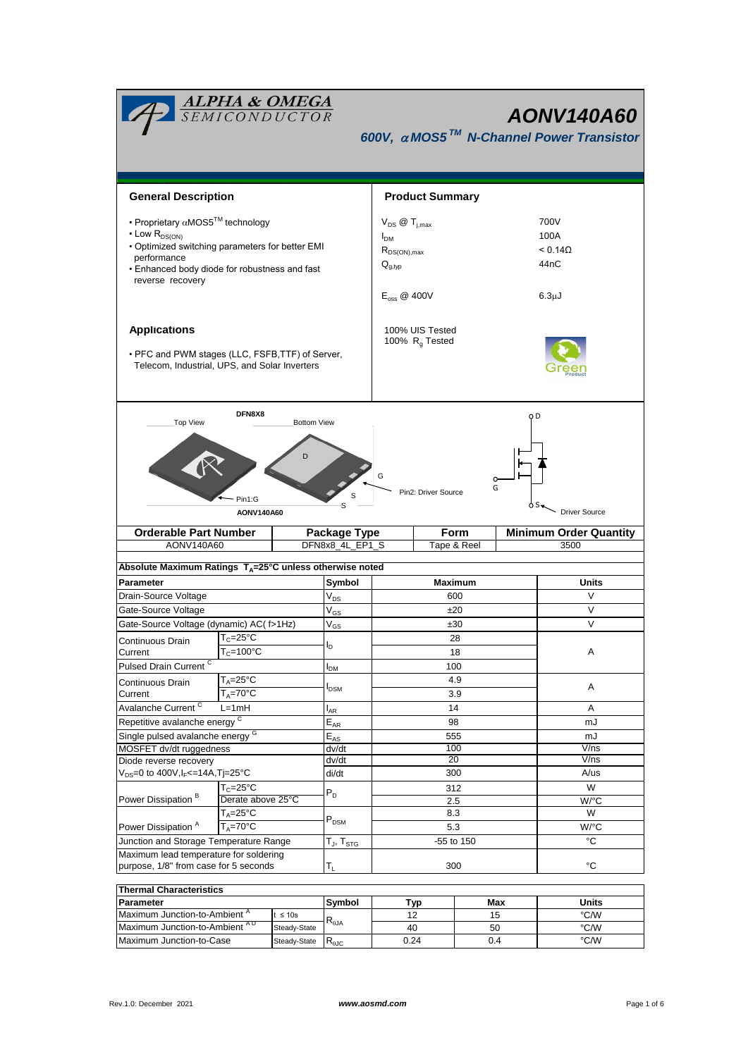| <b>ALPHA &amp; OMEGA</b><br>SEMICONDUCTOR<br><b>AONV140A60</b><br>600V, $\alpha$ MOS5 <sup>TM</sup> N-Channel Power Transistor                                                                                          |                                                                |                                                                                                               |                                    |             |     |                                                            |                               |              |  |  |  |
|-------------------------------------------------------------------------------------------------------------------------------------------------------------------------------------------------------------------------|----------------------------------------------------------------|---------------------------------------------------------------------------------------------------------------|------------------------------------|-------------|-----|------------------------------------------------------------|-------------------------------|--------------|--|--|--|
| <b>General Description</b>                                                                                                                                                                                              |                                                                | <b>Product Summary</b>                                                                                        |                                    |             |     |                                                            |                               |              |  |  |  |
| • Proprietary $\alpha$ MOS5 <sup>TM</sup> technology<br>$\cdot$ Low $R_{DS(ON)}$<br>. Optimized switching parameters for better EMI<br>performance<br>• Enhanced body diode for robustness and fast<br>reverse recovery |                                                                | $V_{DS}$ $\omega$ $T_{i,max}$<br>$I_{DM}$<br>$R_{DS(ON),max}$<br>$Q_{q,typ}$<br>$E_{\text{oss}} \otimes 400V$ |                                    |             |     | 700V<br>100A<br>$< 0.14\Omega$<br>44nC<br>6.3 <sub>µ</sub> |                               |              |  |  |  |
| <b>Applications</b><br>• PFC and PWM stages (LLC, FSFB, TTF) of Server,<br>Telecom, Industrial, UPS, and Solar Inverters                                                                                                |                                                                | 100% UIS Tested<br>100% R <sub>q</sub> Tested                                                                 |                                    |             |     |                                                            |                               |              |  |  |  |
| DFN8X8<br>O <sub>D</sub><br><b>Top View</b><br><b>Bottom View</b><br>D<br>G<br>G<br>Pin2: Driver Source<br>S<br>Pin1:G<br>S<br><b>Driver Source</b><br>AONV140A60                                                       |                                                                |                                                                                                               |                                    |             |     |                                                            |                               |              |  |  |  |
| <b>Orderable Part Number</b>                                                                                                                                                                                            |                                                                |                                                                                                               | <b>Form</b><br><b>Package Type</b> |             |     |                                                            | <b>Minimum Order Quantity</b> |              |  |  |  |
| AONV140A60                                                                                                                                                                                                              |                                                                |                                                                                                               | DFN8x8_4L_EP1_S                    | Tape & Reel |     |                                                            |                               | 3500         |  |  |  |
| Absolute Maximum Ratings TA=25°C unless otherwise noted                                                                                                                                                                 |                                                                |                                                                                                               |                                    |             |     |                                                            |                               |              |  |  |  |
| Parameter                                                                                                                                                                                                               |                                                                |                                                                                                               | Symbol                             | Maximum     |     |                                                            |                               | <b>Units</b> |  |  |  |
| Drain-Source Voltage                                                                                                                                                                                                    |                                                                |                                                                                                               | $V_{DS}$                           | 600         |     |                                                            |                               | V            |  |  |  |
| Gate-Source Voltage                                                                                                                                                                                                     |                                                                |                                                                                                               | $\rm V_{GS}$                       | ±20         |     |                                                            |                               | V            |  |  |  |
| Gate-Source Voltage (dynamic) AC( f>1Hz)                                                                                                                                                                                |                                                                |                                                                                                               | V <sub>GS</sub>                    | ±30         |     |                                                            |                               | V            |  |  |  |
| Continuous Drain                                                                                                                                                                                                        | $T_c = 25$ °C                                                  |                                                                                                               |                                    | 28          |     |                                                            |                               |              |  |  |  |
| Current                                                                                                                                                                                                                 | $T_c = 100^{\circ}C$                                           |                                                                                                               |                                    | 18          |     |                                                            |                               | A            |  |  |  |
| Pulsed Drain Current <sup>C</sup>                                                                                                                                                                                       | $T_A = 25$ °C                                                  |                                                                                                               | I <sub>DM</sub>                    | 100<br>4.9  |     |                                                            |                               |              |  |  |  |
| Continuous Drain<br>Current                                                                                                                                                                                             | $T_A = 70$ °C                                                  |                                                                                                               | I <sub>DSM</sub>                   | 3.9         |     |                                                            |                               | Α            |  |  |  |
| Avalanche Current <sup>C</sup>                                                                                                                                                                                          | $L=1mH$                                                        |                                                                                                               | $I_{AR}$                           | 14          |     |                                                            |                               | Α            |  |  |  |
| Repetitive avalanche energy C                                                                                                                                                                                           |                                                                |                                                                                                               | $\mathsf{E}_{\mathsf{AR}}$         | 98          |     |                                                            |                               | mJ           |  |  |  |
| Single pulsed avalanche energy <sup>G</sup>                                                                                                                                                                             |                                                                |                                                                                                               | $E_{AS}$                           | 555         |     |                                                            |                               | mJ           |  |  |  |
| MOSFET dv/dt ruggedness                                                                                                                                                                                                 |                                                                |                                                                                                               | dv/dt                              | 100         |     |                                                            |                               | V/ns         |  |  |  |
| Diode reverse recovery<br>$V_{DS}$ =0 to 400V, l <sub>F</sub> <=14A, Tj=25°C                                                                                                                                            |                                                                |                                                                                                               | dv/dt                              | 20          |     |                                                            |                               | V/ns         |  |  |  |
|                                                                                                                                                                                                                         |                                                                |                                                                                                               | di/dt                              | 300         |     |                                                            |                               | A/us<br>W    |  |  |  |
| Power Dissipation <sup>B</sup>                                                                                                                                                                                          | $T_c = 25$ °C<br>Derate above 25°C                             |                                                                                                               | $P_D$                              | 312<br>2.5  |     |                                                            |                               | W/°C         |  |  |  |
|                                                                                                                                                                                                                         | $T_A = 25$ °C                                                  |                                                                                                               |                                    | 8.3         |     |                                                            |                               | W            |  |  |  |
| Power Dissipation <sup>A</sup><br>$T_A = 70$ °C                                                                                                                                                                         |                                                                |                                                                                                               | $P_{DSM}$                          | 5.3         |     |                                                            |                               | W/°C         |  |  |  |
| Junction and Storage Temperature Range                                                                                                                                                                                  |                                                                |                                                                                                               | T $_{\sf J},$ T $_{\sf STG}$       | -55 to 150  |     |                                                            |                               | °C           |  |  |  |
| Maximum lead temperature for soldering                                                                                                                                                                                  |                                                                |                                                                                                               |                                    |             |     | °C                                                         |                               |              |  |  |  |
| purpose, 1/8" from case for 5 seconds                                                                                                                                                                                   |                                                                |                                                                                                               | $T_{\rm L}$                        | 300         |     |                                                            |                               |              |  |  |  |
| <b>Thermal Characteristics</b>                                                                                                                                                                                          |                                                                |                                                                                                               |                                    |             |     |                                                            |                               |              |  |  |  |
| Parameter                                                                                                                                                                                                               |                                                                |                                                                                                               | Symbol                             |             | Typ | Max                                                        |                               | Units        |  |  |  |
| Maximum Junction-to-Ambient A                                                                                                                                                                                           |                                                                | $t \leq 10s$                                                                                                  | $R_{\theta$ JA                     | 12          |     | 15                                                         |                               | °C/W         |  |  |  |
| Maximum Junction-to-Case                                                                                                                                                                                                | Maximum Junction-to-Ambient AD<br>Steady-State<br>Steady-State |                                                                                                               |                                    | 40<br>0.24  |     | 50<br>0.4                                                  |                               | °C/W<br>°C/W |  |  |  |
|                                                                                                                                                                                                                         |                                                                |                                                                                                               | $R_{\theta \text{JC}}$             |             |     |                                                            |                               |              |  |  |  |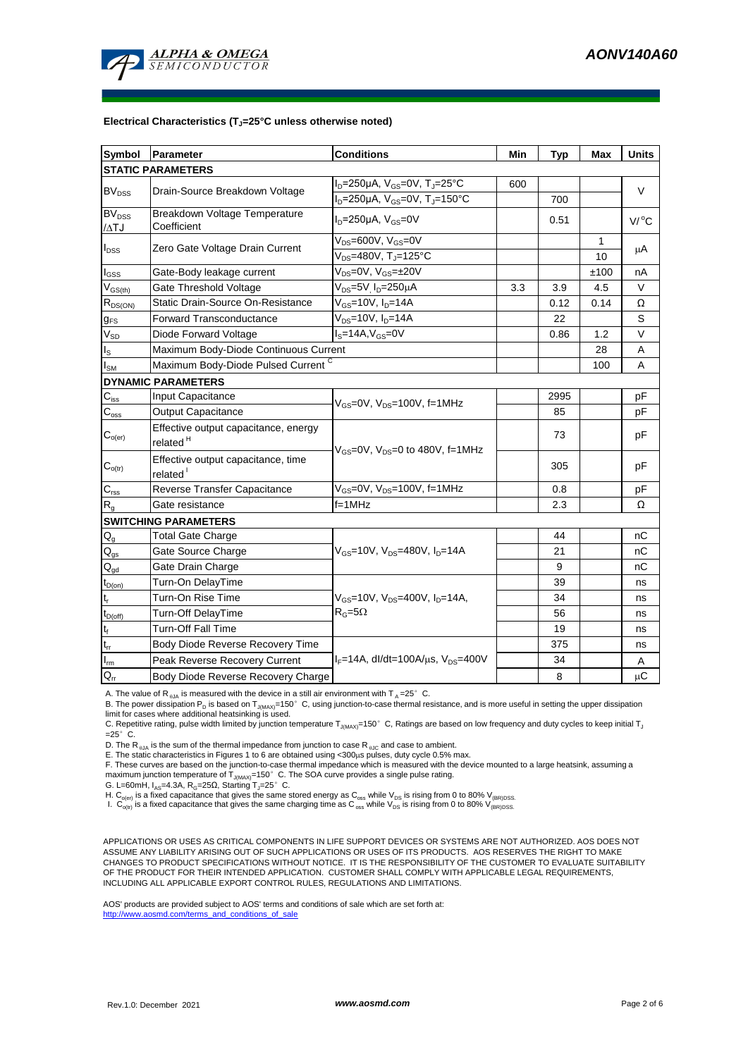

#### **Electrical Characteristics (TJ=25°C unless otherwise noted)**

| <b>Symbol</b>                          | Parameter                                                    | <b>Conditions</b>                                        | Min | <b>Typ</b> | Max     | <b>Units</b> |  |  |  |  |  |  |
|----------------------------------------|--------------------------------------------------------------|----------------------------------------------------------|-----|------------|---------|--------------|--|--|--|--|--|--|
| <b>STATIC PARAMETERS</b>               |                                                              |                                                          |     |            |         |              |  |  |  |  |  |  |
| <b>BV<sub>DSS</sub></b>                | Drain-Source Breakdown Voltage                               | $I_D = 250 \mu A$ , $V_{GS} = 0V$ , $T_J = 25^{\circ}C$  | 600 |            |         | V            |  |  |  |  |  |  |
|                                        |                                                              | $I_D = 250 \mu A$ , $V_{GS} = 0V$ , $T_J = 150^{\circ}C$ |     | 700        |         |              |  |  |  |  |  |  |
| $BV_{DSS}$<br>$\Delta TJ$              | Breakdown Voltage Temperature<br>Coefficient                 | $ID=250\mu A$ , $VGS=0V$                                 |     | 0.51       |         | $V/$ °C      |  |  |  |  |  |  |
|                                        |                                                              | $V_{DS} = 600V$ , $V_{GS} = 0V$                          |     |            | 1       | μA           |  |  |  |  |  |  |
| $I_{\mathsf{DSS}}$                     | Zero Gate Voltage Drain Current                              | $V_{DS}$ =480V, T <sub>J</sub> =125°C                    |     |            | 10      |              |  |  |  |  |  |  |
| $I_{GSS}$                              | Gate-Body leakage current                                    | $V_{DS} = 0V$ , $V_{GS} = \pm 20V$                       |     |            | ±100    | nA           |  |  |  |  |  |  |
| $V_{GS(th)}$                           | Gate Threshold Voltage                                       | V <sub>DS</sub> =5V I <sub>D</sub> =250μA<br>3.3         |     | 3.9        | 4.5     | V            |  |  |  |  |  |  |
| $R_{DS(ON)}$                           | Static Drain-Source On-Resistance                            | V <sub>GS</sub> =10V, I <sub>D</sub> =14A                |     | 0.12       | 0.14    | Ω            |  |  |  |  |  |  |
| $g_{\text{FS}}$                        | <b>Forward Transconductance</b>                              | $V_{DS}$ =10V, $I_{D}$ =14A                              |     | 22         |         | S            |  |  |  |  |  |  |
| $\rm V_{SD}$                           | Diode Forward Voltage                                        | $\overline{I_{\rm s}} = 14A, V_{\rm GS} = 0V$            |     | 0.86       | 1.2     | V            |  |  |  |  |  |  |
| $I_{\rm S}$                            | Maximum Body-Diode Continuous Current                        |                                                          |     | 28         | Α       |              |  |  |  |  |  |  |
| $\mathsf{I}_{\mathsf{SM}}$             | Maximum Body-Diode Pulsed Current C                          |                                                          |     | 100        | A       |              |  |  |  |  |  |  |
|                                        | <b>DYNAMIC PARAMETERS</b>                                    |                                                          |     |            |         |              |  |  |  |  |  |  |
| $C_{iss}$                              | Input Capacitance                                            | $V_{\text{GS}} = 0V$ , $V_{\text{DS}} = 100V$ , f=1MHz   |     | 2995       |         | pF           |  |  |  |  |  |  |
| $\mathbf{C}_{\text{oss}}$              | Output Capacitance                                           |                                                          |     | 85         |         | рF           |  |  |  |  |  |  |
| $\mathsf{C}_{\mathsf{o}(\mathsf{er})}$ | Effective output capacitance, energy<br>related <sup>H</sup> | $V_{GS}$ =0V, $V_{DS}$ =0 to 480V, f=1MHz                |     | 73         |         | рF           |  |  |  |  |  |  |
| $C_{o(tr)}$                            | Effective output capacitance, time<br>related <sup>1</sup>   |                                                          |     | 305        |         | рF           |  |  |  |  |  |  |
| $C_{\text{rss}}$                       | Reverse Transfer Capacitance                                 | $V_{GS} = 0V$ , $V_{DS} = 100V$ , f=1MHz                 |     | 0.8        |         | pF           |  |  |  |  |  |  |
| $\mathsf{R}_{\mathsf{g}}$              | Gate resistance                                              | $f=1$ MHz                                                |     | 2.3        |         | Ω            |  |  |  |  |  |  |
|                                        | <b>SWITCHING PARAMETERS</b>                                  |                                                          |     |            |         |              |  |  |  |  |  |  |
| $Q_g$                                  | <b>Total Gate Charge</b>                                     |                                                          |     | 44         |         | nС           |  |  |  |  |  |  |
| $\mathsf{Q}_{\text{gs}}$               | Gate Source Charge                                           | $V_{GS}$ =10V, $V_{DS}$ =480V, $I_{D}$ =14A              |     | 21         |         | nС           |  |  |  |  |  |  |
| $\mathsf{Q}_{\underline{\mathsf{gd}}}$ | Gate Drain Charge                                            |                                                          |     | 9          |         | nC           |  |  |  |  |  |  |
| $t_{D(on)}$                            | Turn-On DelayTime                                            |                                                          |     | 39         |         | ns           |  |  |  |  |  |  |
| $\mathsf{t}_\mathsf{r}$                | Turn-On Rise Time                                            | $V_{GS}$ =10V, $V_{DS}$ =400V, $I_{D}$ =14A,             |     | 34         |         | ns           |  |  |  |  |  |  |
| $t_{D(off)}$                           | Turn-Off DelayTime                                           | $R_G = 5\Omega$                                          |     | 56         |         | ns           |  |  |  |  |  |  |
| $\mathsf{t}_{\mathsf{f}}$              | Turn-Off Fall Time                                           |                                                          |     | 19         |         | ns           |  |  |  |  |  |  |
| $\mathfrak{t}_{\text{rr}}$             | Body Diode Reverse Recovery Time                             |                                                          |     | 375        |         | ns           |  |  |  |  |  |  |
| $I_{\underline{m}}$                    | Peak Reverse Recovery Current                                | $I_F = 14A$ , dl/dt=100A/ $\mu$ s, V <sub>DS</sub> =400V |     | 34         |         | Α            |  |  |  |  |  |  |
| $Q_{rr}$                               | Body Diode Reverse Recovery Charge                           |                                                          | 8   |            | $\mu$ C |              |  |  |  |  |  |  |

A. The value of R<sub>0JA</sub> is measured with the device in a still air environment with T<sub>A</sub>=25°C.

B. The power dissipation P<sub>D</sub> is based on T<sub>J(MAX)</sub>=150°C, using junction-to-case thermal resistance, and is more useful in setting the upper dissipation

limit for cases where additional heatsinking is used.<br>C. Repetitive rating, pulse width limited by junction temperature T<sub>J(MAX)</sub>=150° C, Ratings are based on low frequency and duty cycles to keep initial T<sub>,</sub>  $=25^\circ$  C.

D. The R<sub> $_{0JA}$ </sub> is the sum of the thermal impedance from junction to case R<sub> $_{0JC}$ </sub> and case to ambient.

E. The static characteristics in Figures 1 to 6 are obtained using <300μs pulses, duty cycle 0.5% max.<br>F. These curves are based on the junction-to-case thermal impedance which is measured with the device mounted to a lar maximum junction temperature of  $T_{J(MAX)}$ =150°C. The SOA curve provides a single pulse rating.

G. L=60mH,  $I_{AS}$ =4.3A,  $R_G$ =25 $\Omega$ , Starting T<sub>J</sub>=25°C.

H. C<sub>o(er)</sub> is a fixed capacitance that gives the same stored energy as C<sub>oss</sub> while V<sub>DS</sub> is rising from 0 to 80% V<sub>(BR)DSS</sub>.<br>I. C<sub>o(tr)</sub> is a fixed capacitance that gives the same charging time as C<sub>oss</sub> while V<sub>DS</sub> is

APPLICATIONS OR USES AS CRITICAL COMPONENTS IN LIFE SUPPORT DEVICES OR SYSTEMS ARE NOT AUTHORIZED. AOS DOES NOT ASSUME ANY LIABILITY ARISING OUT OF SUCH APPLICATIONS OR USES OF ITS PRODUCTS. AOS RESERVES THE RIGHT TO MAKE CHANGES TO PRODUCT SPECIFICATIONS WITHOUT NOTICE. IT IS THE RESPONSIBILITY OF THE CUSTOMER TO EVALUATE SUITABILITY OF THE PRODUCT FOR THEIR INTENDED APPLICATION. CUSTOMER SHALL COMPLY WITH APPLICABLE LEGAL REQUIREMENTS, INCLUDING ALL APPLICABLE EXPORT CONTROL RULES, REGULATIONS AND LIMITATIONS.

AOS' products are provided subject to AOS' terms and conditions of sale which are set forth at: http://www.aosmd.com/terms\_and\_conditions\_of\_sale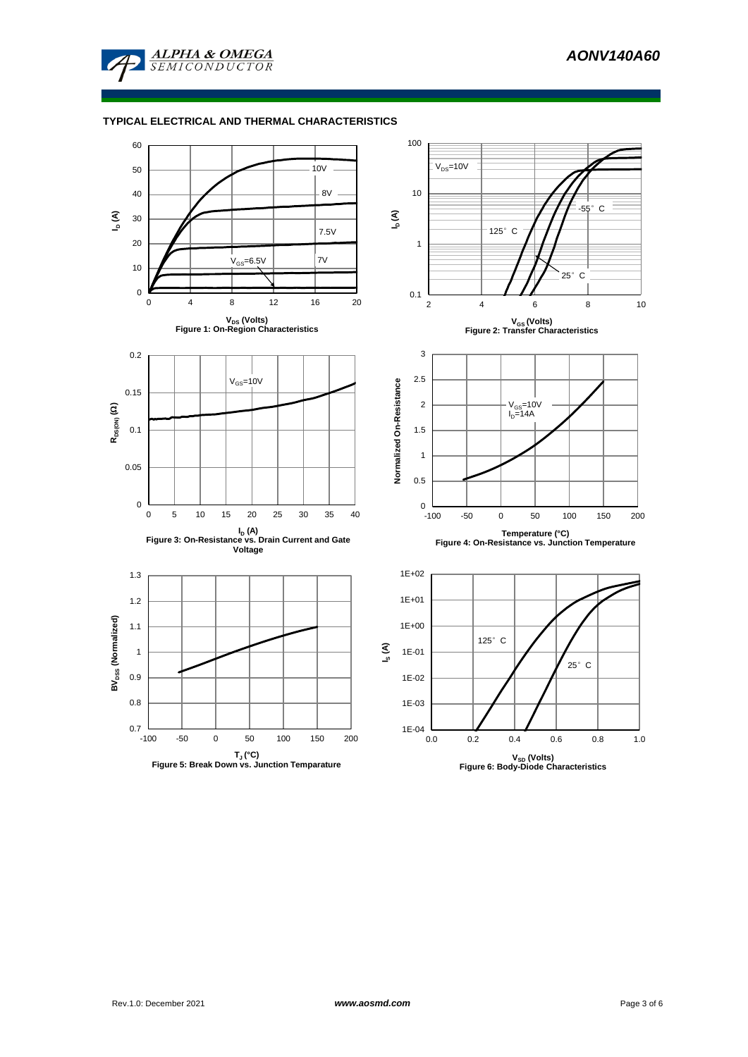

### **TYPICAL ELECTRICAL AND THERMAL CHARACTERISTICS**

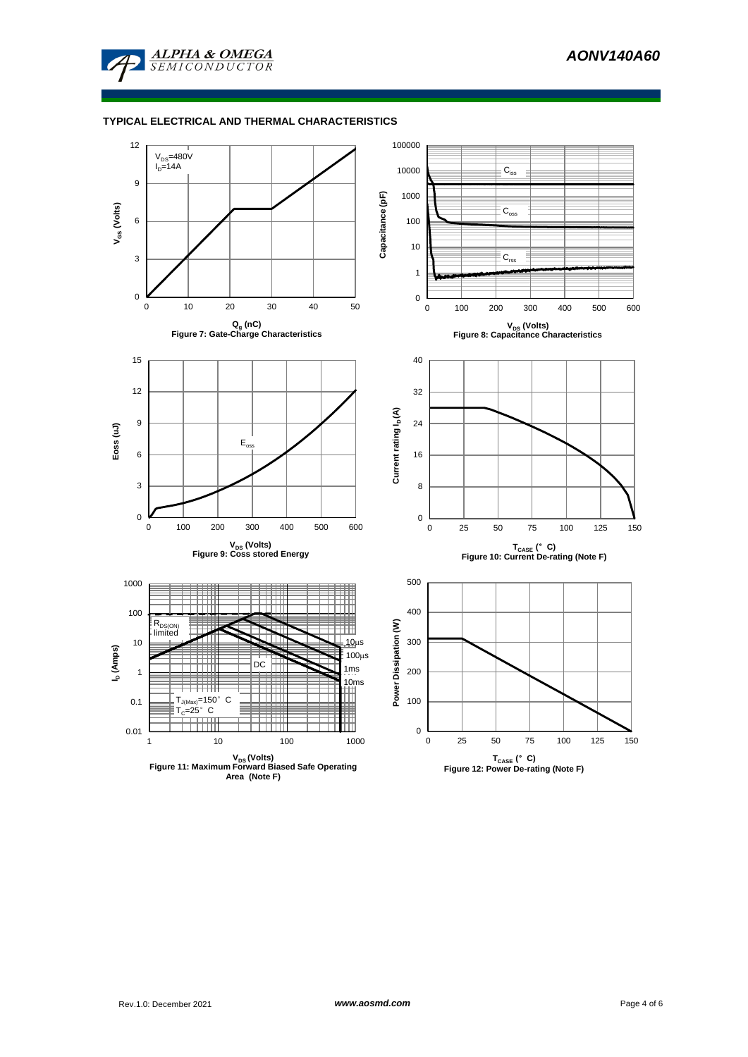

## **TYPICAL ELECTRICAL AND THERMAL CHARACTERISTICS**

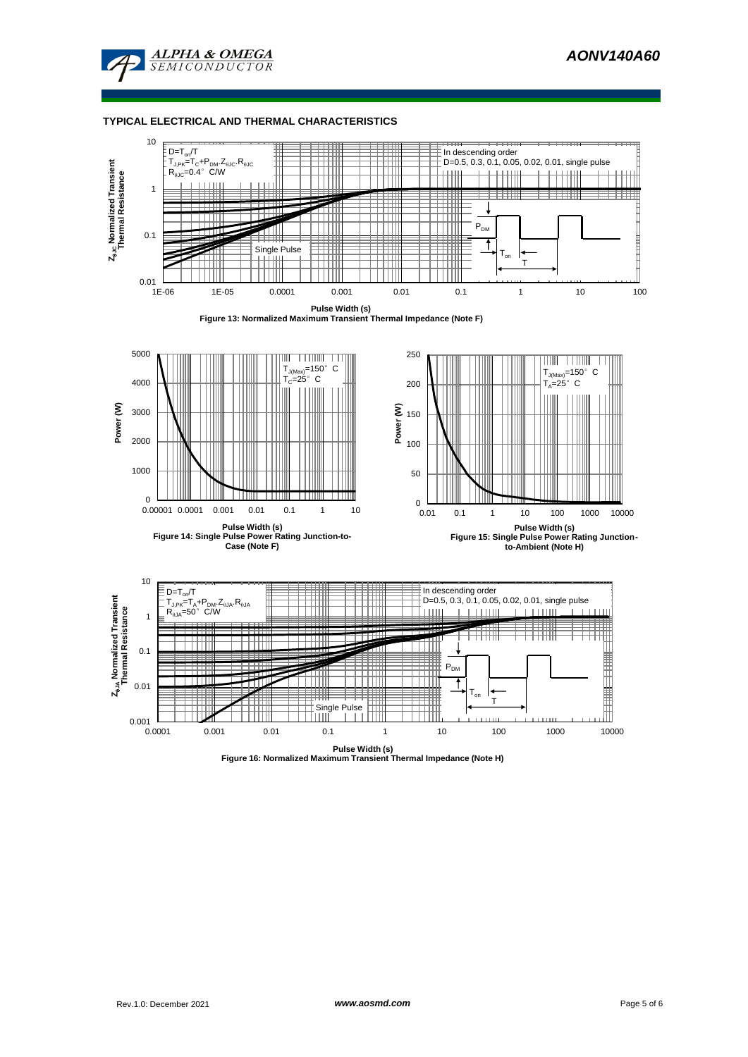

#### **TYPICAL ELECTRICAL AND THERMAL CHARACTERISTICS**